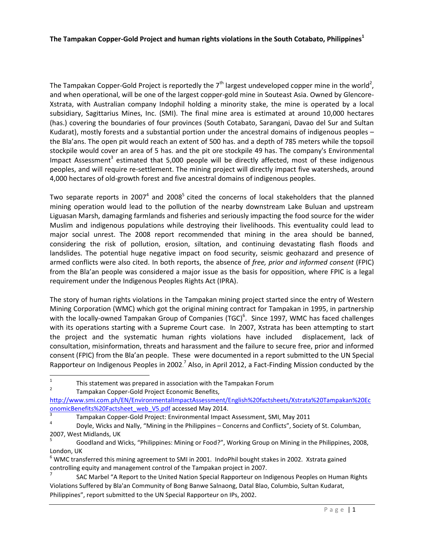The Tampakan Copper-Gold Project is reportedly the 7<sup>th</sup> largest undeveloped copper mine in the world<sup>2</sup>, and when operational, will be one of the largest copper-gold mine in Souteast Asia. Owned by Glencore-Xstrata, with Australian company Indophil holding a minority stake, the mine is operated by a local subsidiary, Sagittarius Mines, Inc. (SMI). The final mine area is estimated at around 10,000 hectares (has.) covering the boundaries of four provinces (South Cotabato, Sarangani, Davao del Sur and Sultan Kudarat), mostly forests and a substantial portion under the ancestral domains of indigenous peoples – the Bla'ans. The open pit would reach an extent of 500 has. and a depth of 785 meters while the topsoil stockpile would cover an area of 5 has. and the pit ore stockpile 49 has. The company's Environmental Impact Assessment<sup>3</sup> estimated that 5,000 people will be directly affected, most of these indigenous peoples, and will require re-settlement. The mining project will directly impact five watersheds, around 4,000 hectares of old-growth forest and five ancestral domains of indigenous peoples.

Two separate reports in 2007<sup>4</sup> and 2008<sup>5</sup> cited the concerns of local stakeholders that the planned mining operation would lead to the pollution of the nearby downstream Lake Buluan and upstream Liguasan Marsh, damaging farmlands and fisheries and seriously impacting the food source for the wider Muslim and indigenous populations while destroying their livelihoods. This eventuality could lead to major social unrest. The 2008 report recommended that mining in the area should be banned, considering the risk of pollution, erosion, siltation, and continuing devastating flash floods and landslides. The potential huge negative impact on food security, seismic geohazard and presence of armed conflicts were also cited. In both reports, the absence of *free, prior and informed consent* (FPIC) from the Bla'an people was considered a major issue as the basis for opposition, where FPIC is a legal requirement under the Indigenous Peoples Rights Act (IPRA).

The story of human rights violations in the Tampakan mining project started since the entry of Western Mining Corporation (WMC) which got the original mining contract for Tampakan in 1995, in partnership with the locally-owned Tampakan Group of Companies (TGC)<sup>6</sup>. Since 1997, WMC has faced challenges with its operations starting with a Supreme Court case. In 2007, Xstrata has been attempting to start the project and the systematic human rights violations have included displacement, lack of consultation, misinformation, threats and harassment and the failure to secure free, prior and informed consent (FPIC) from the Bla'an people. These were documented in a report submitted to the UN Special Rapporteur on Indigenous Peoples in 2002.<sup>7</sup> Also, in April 2012, a Fact-Finding Mission conducted by the

 $\overline{1}$ This statement was prepared in association with the Tampakan Forum

<sup>2</sup> Tampakan Copper-Gold Project Economic Benefits,

[http://www.smi.com.ph/EN/EnvironmentalImpactAssessment/English%20factsheets/Xstrata%20Tampakan%20Ec](http://www.smi.com.ph/EN/EnvironmentalImpactAssessment/English%20factsheets/Xstrata%20Tampakan%20EconomicBenefits%20Factsheet_web_V5.pdf) [onomicBenefits%20Factsheet\\_web\\_V5.pdf](http://www.smi.com.ph/EN/EnvironmentalImpactAssessment/English%20factsheets/Xstrata%20Tampakan%20EconomicBenefits%20Factsheet_web_V5.pdf) accessed May 2014.

<sup>3</sup> Tampakan Copper-Gold Project: Environmental Impact Assessment, SMI, May 2011

<sup>4</sup> Doyle, Wicks and Nally, "Mining in the Philippines – Concerns and Conflicts", Society of St. Columban, 2007, West Midlands, UK

<sup>5</sup> Goodland and Wicks, "Philippines: Mining or Food?", Working Group on Mining in the Philippines, 2008, London, UK

 $^6$  WMC transferred this mining agreement to SMI in 2001. IndoPhil bought stakes in 2002. Xstrata gained controlling equity and management control of the Tampakan project in 2007.

<sup>7</sup> SAC Marbel "A Report to the United Nation Special Rapporteur on Indigenous Peoples on Human Rights Violations Suffered by Bla'an Community of Bong Banwe Salnaong, Datal Blao, Columbio, Sultan Kudarat, Philippines", report submitted to the UN Special Rapporteur on IPs, 2002.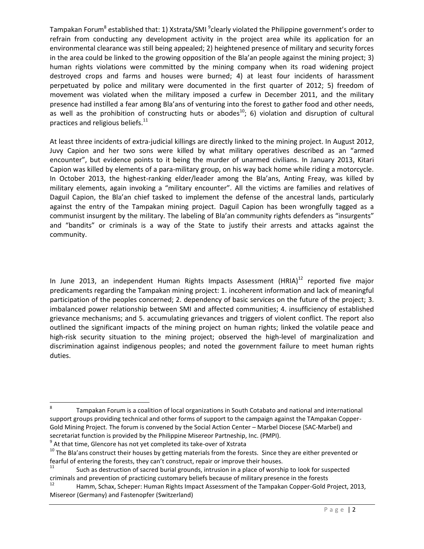Tampakan Forum<sup>8</sup> established that: 1) Xstrata/SMI <sup>9</sup>clearly violated the Philippine government's order to refrain from conducting any development activity in the project area while its application for an environmental clearance was still being appealed; 2) heightened presence of military and security forces in the area could be linked to the growing opposition of the Bla'an people against the mining project; 3) human rights violations were committed by the mining company when its road widening project destroyed crops and farms and houses were burned; 4) at least four incidents of harassment perpetuated by police and military were documented in the first quarter of 2012; 5) freedom of movement was violated when the military imposed a curfew in December 2011, and the military presence had instilled a fear among Bla'ans of venturing into the forest to gather food and other needs, as well as the prohibition of constructing huts or abodes<sup>10</sup>; 6) violation and disruption of cultural practices and religious beliefs. $11$ 

At least three incidents of extra-judicial killings are directly linked to the mining project. In August 2012, Juvy Capion and her two sons were killed by what military operatives described as an "armed encounter", but evidence points to it being the murder of unarmed civilians. In January 2013, Kitari Capion was killed by elements of a para-military group, on his way back home while riding a motorcycle. In October 2013, the highest-ranking elder/leader among the Bla'ans, Anting Freay, was killed by military elements, again invoking a "military encounter". All the victims are families and relatives of Daguil Capion, the Bla'an chief tasked to implement the defense of the ancestral lands, particularly against the entry of the Tampakan mining project. Daguil Capion has been wrongfully tagged as a communist insurgent by the military. The labeling of Bla'an community rights defenders as "insurgents" and "bandits" or criminals is a way of the State to justify their arrests and attacks against the community.

In June 2013, an independent Human Rights Impacts Assessment  $(HRIA)^{12}$  reported five major predicaments regarding the Tampakan mining project: 1. incoherent information and lack of meaningful participation of the peoples concerned; 2. dependency of basic services on the future of the project; 3. imbalanced power relationship between SMI and affected communities; 4. insufficiency of established grievance mechanisms; and 5. accumulating grievances and triggers of violent conflict. The report also outlined the significant impacts of the mining project on human rights; linked the volatile peace and high-risk security situation to the mining project; observed the high-level of marginalization and discrimination against indigenous peoples; and noted the government failure to meet human rights duties.

<sup>-&</sup>lt;br>8 Tampakan Forum is a coalition of local organizations in South Cotabato and national and international support groups providing technical and other forms of support to the campaign against the TAmpakan Copper-Gold Mining Project. The forum is convened by the Social Action Center – Marbel Diocese (SAC-Marbel) and secretariat function is provided by the Philippine Misereor Partneship, Inc. (PMPI).  $^{9}$  At that time, Glencore has not yet completed its take-over of Xstrata

<sup>&</sup>lt;sup>10</sup> The Bla'ans construct their houses by getting materials from the forests. Since they are either prevented or fearful of entering the forests, they can't construct, repair or improve their houses.

Such as destruction of sacred burial grounds, intrusion in a place of worship to look for suspected criminals and prevention of practicing customary beliefs because of military presence in the forests

<sup>12</sup> Hamm, Schax, Scheper: Human Rights Impact Assessment of the Tampakan Copper-Gold Project, 2013, Misereor (Germany) and Fastenopfer (Switzerland)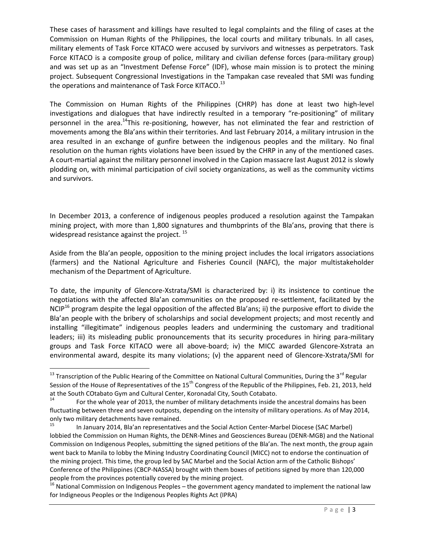These cases of harassment and killings have resulted to legal complaints and the filing of cases at the Commission on Human Rights of the Philippines, the local courts and military tribunals. In all cases, military elements of Task Force KITACO were accused by survivors and witnesses as perpetrators. Task Force KITACO is a composite group of police, military and civilian defense forces (para-military group) and was set up as an "Investment Defense Force" (IDF), whose main mission is to protect the mining project. Subsequent Congressional Investigations in the Tampakan case revealed that SMI was funding the operations and maintenance of Task Force KITACO.<sup>13</sup>

The Commission on Human Rights of the Philippines (CHRP) has done at least two high-level investigations and dialogues that have indirectly resulted in a temporary "re-positioning" of military personnel in the area.<sup>14</sup>This re-positioning, however, has not eliminated the fear and restriction of movements among the Bla'ans within their territories. And last February 2014, a military intrusion in the area resulted in an exchange of gunfire between the indigenous peoples and the military. No final resolution on the human rights violations have been issued by the CHRP in any of the mentioned cases. A court-martial against the military personnel involved in the Capion massacre last August 2012 is slowly plodding on, with minimal participation of civil society organizations, as well as the community victims and survivors.

In December 2013, a conference of indigenous peoples produced a resolution against the Tampakan mining project, with more than 1,800 signatures and thumbprints of the Bla'ans, proving that there is widespread resistance against the project.<sup>15</sup>

Aside from the Bla'an people, opposition to the mining project includes the local irrigators associations (farmers) and the National Agriculture and Fisheries Council (NAFC), the major multistakeholder mechanism of the Department of Agriculture.

To date, the impunity of Glencore-Xstrata/SMI is characterized by: i) its insistence to continue the negotiations with the affected Bla'an communities on the proposed re-settlement, facilitated by the NCIP<sup>16</sup> program despite the legal opposition of the affected Bla'ans; ii) the purposive effort to divide the Bla'an people with the bribery of scholarships and social development projects; and most recently and installing "illegitimate" indigenous peoples leaders and undermining the customary and traditional leaders; iii) its misleading public pronouncements that its security procedures in hiring para-military groups and Task Force KITACO were all above-board; iv) the MICC awarded Glencore-Xstrata an environmental award, despite its many violations; (v) the apparent need of Glencore-Xstrata/SMI for

 $\overline{a}$ 

<sup>&</sup>lt;sup>13</sup> Transcription of the Public Hearing of the Committee on National Cultural Communities, During the 3<sup>rd</sup> Regular Session of the House of Representatives of the 15<sup>th</sup> Congress of the Republic of the Philippines, Feb. 21, 2013, held at the South COtabato Gym and Cultural Center, Koronadal City, South Cotabato.

For the whole year of 2013, the number of military detachments inside the ancestral domains has been fluctuating between three and seven outposts, depending on the intensity of military operations. As of May 2014, only two military detachments have remained.

<sup>15</sup> In January 2014, Bla'an representatives and the Social Action Center-Marbel Diocese (SAC Marbel) lobbied the Commission on Human Rights, the DENR-Mines and Geosciences Bureau (DENR-MGB) and the National Commission on Indigenous Peoples, submitting the signed petitions of the Bla'an. The next month, the group again went back to Manila to lobby the Mining Industry Coordinating Council (MICC) not to endorse the continuation of the mining project. This time, the group led by SAC Marbel and the Social Action arm of the Catholic Bishops' Conference of the Philippines (CBCP-NASSA) brought with them boxes of petitions signed by more than 120,000 people from the provinces potentially covered by the mining project.

<sup>&</sup>lt;sup>16</sup> National Commission on Indigenous Peoples – the government agency mandated to implement the national law for Indigneous Peoples or the Indigenous Peoples Rights Act (IPRA)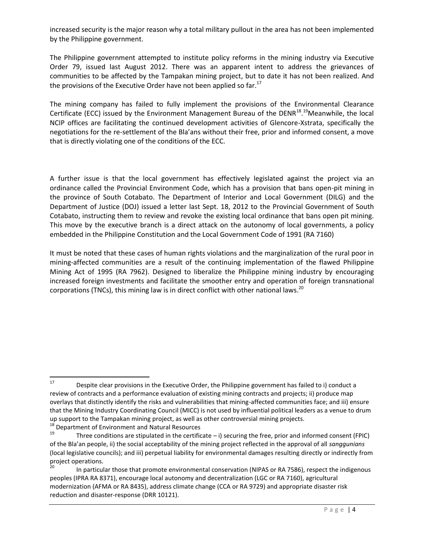increased security is the major reason why a total military pullout in the area has not been implemented by the Philippine government.

The Philippine government attempted to institute policy reforms in the mining industry via Executive Order 79, issued last August 2012. There was an apparent intent to address the grievances of communities to be affected by the Tampakan mining project, but to date it has not been realized. And the provisions of the Executive Order have not been applied so far. $^{17}$ 

The mining company has failed to fully implement the provisions of the Environmental Clearance Certificate (ECC) issued by the Environment Management Bureau of the DENR<sup>18</sup>.<sup>19</sup>Meanwhile, the local NCIP offices are facilitating the continued development activities of Glencore-Xstrata, specifically the negotiations for the re-settlement of the Bla'ans without their free, prior and informed consent, a move that is directly violating one of the conditions of the ECC.

A further issue is that the local government has effectively legislated against the project via an ordinance called the Provincial Environment Code, which has a provision that bans open-pit mining in the province of South Cotabato. The Department of Interior and Local Government (DILG) and the Department of Justice (DOJ) issued a letter last Sept. 18, 2012 to the Provincial Government of South Cotabato, instructing them to review and revoke the existing local ordinance that bans open pit mining. This move by the executive branch is a direct attack on the autonomy of local governments, a policy embedded in the Philippine Constitution and the Local Government Code of 1991 (RA 7160)

It must be noted that these cases of human rights violations and the marginalization of the rural poor in mining-affected communities are a result of the continuing implementation of the flawed Philippine Mining Act of 1995 (RA 7962). Designed to liberalize the Philippine mining industry by encouraging increased foreign investments and facilitate the smoother entry and operation of foreign transnational corporations (TNCs), this mining law is in direct conflict with other national laws.<sup>20</sup>

 $17\,$ Despite clear provisions in the Executive Order, the Philippine government has failed to i) conduct a review of contracts and a performance evaluation of existing mining contracts and projects; ii) produce map overlays that distinctly identify the risks and vulnerabilities that mining-affected communities face; and iii) ensure that the Mining Industry Coordinating Council (MICC) is not used by influential political leaders as a venue to drum up support to the Tampakan mining project, as well as other controversial mining projects.

<sup>&</sup>lt;sup>18</sup> Department of Environment and Natural Resources<br> $19$ <br>Three conditions are stipulated in the certific

Three conditions are stipulated in the certificate  $-$  i) securing the free, prior and informed consent (FPIC) of the Bla'an people, ii) the social acceptability of the mining project reflected in the approval of all *sanggunians* (local legislative councils); and iii) perpetual liability for environmental damages resulting directly or indirectly from project operations.

In particular those that promote environmental conservation (NIPAS or RA 7586), respect the indigenous peoples (IPRA RA 8371), encourage local autonomy and decentralization (LGC or RA 7160), agricultural modernization (AFMA or RA 8435), address climate change (CCA or RA 9729) and appropriate disaster risk reduction and disaster-response (DRR 10121).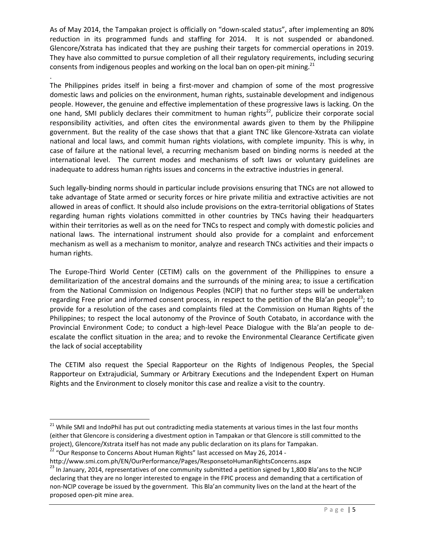As of May 2014, the Tampakan project is officially on "down-scaled status", after implementing an 80% reduction in its programmed funds and staffing for 2014. It is not suspended or abandoned. Glencore/Xstrata has indicated that they are pushing their targets for commercial operations in 2019. They have also committed to pursue completion of all their regulatory requirements, including securing consents from indigenous peoples and working on the local ban on open-pit mining.<sup>21</sup>

. The Philippines prides itself in being a first-mover and champion of some of the most progressive domestic laws and policies on the environment, human rights, sustainable development and indigenous people. However, the genuine and effective implementation of these progressive laws is lacking. On the one hand, SMI publicly declares their commitment to human rights<sup>22</sup>, publicize their corporate social responsibility activities, and often cites the environmental awards given to them by the Philippine government. But the reality of the case shows that that a giant TNC like Glencore-Xstrata can violate national and local laws, and commit human rights violations, with complete impunity. This is why, in case of failure at the national level, a recurring mechanism based on binding norms is needed at the international level. The current modes and mechanisms of soft laws or voluntary guidelines are inadequate to address human rights issues and concerns in the extractive industries in general.

Such legally-binding norms should in particular include provisions ensuring that TNCs are not allowed to take advantage of State armed or security forces or hire private militia and extractive activities are not allowed in areas of conflict. It should also include provisions on the extra-territorial obligations of States regarding human rights violations committed in other countries by TNCs having their headquarters within their territories as well as on the need for TNCs to respect and comply with domestic policies and national laws. The international instrument should also provide for a complaint and enforcement mechanism as well as a mechanism to monitor, analyze and research TNCs activities and their impacts o human rights.

The Europe-Third World Center (CETIM) calls on the government of the Phillippines to ensure a demilitarization of the ancestral domains and the surrounds of the mining area; to issue a certification from the National Commission on Indigenous Peoples (NCIP) that no further steps will be undertaken regarding Free prior and informed consent process, in respect to the petition of the Bla'an people<sup>23</sup>; to provide for a resolution of the cases and complaints filed at the Commission on Human Rights of the Philippines; to respect the local autonomy of the Province of South Cotabato, in accordance with the Provincial Environment Code; to conduct a high-level Peace Dialogue with the Bla'an people to deescalate the conflict situation in the area; and to revoke the Environmental Clearance Certificate given the lack of social acceptability

The CETIM also request the Special Rapporteur on the Rights of Indigenous Peoples, the Special Rapporteur on Extrajudicial, Summary or Arbitrary Executions and the Independent Expert on Human Rights and the Environment to closely monitor this case and realize a visit to the country.

 $\overline{\phantom{a}}$ 

<sup>&</sup>lt;sup>21</sup> While SMI and IndoPhil has put out contradicting media statements at various times in the last four months (either that Glencore is considering a divestment option in Tampakan or that Glencore is still committed to the project), Glencore/Xstrata itself has not made any public declaration on its plans for Tampakan.

 $^{22}$  "Our Response to Concerns About Human Rights" last accessed on May 26, 2014 -

http://www.smi.com.ph/EN/OurPerformance/Pages/ResponsetoHumanRightsConcerns.aspx

<sup>&</sup>lt;sup>23</sup> In January, 2014, representatives of one community submitted a petition signed by 1,800 Bla'ans to the NCIP declaring that they are no longer interested to engage in the FPIC process and demanding that a certification of non-NCIP coverage be issued by the government. This Bla'an community lives on the land at the heart of the proposed open-pit mine area.